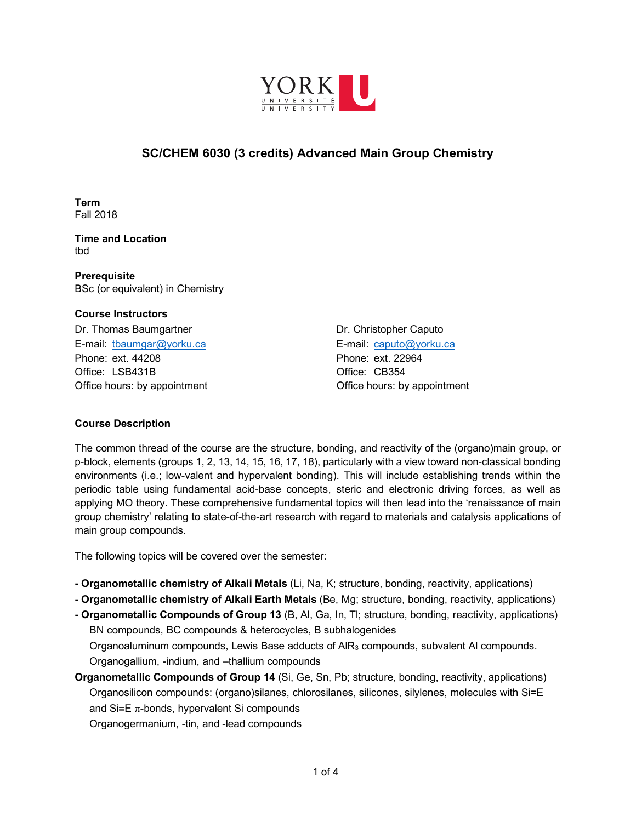

# **SC/CHEM 6030 (3 credits) Advanced Main Group Chemistry**

**Term**  Fall 2018

**Time and Location**  tbd

**Prerequisite**  BSc (or equivalent) in Chemistry

## **Course Instructors**

Dr. Thomas Baumgartner **Dr. Christopher Caputo** E-mail: tbaumgar@yorku.ca E-mail: caputo@yorku.ca Phone: ext. 44208 Phone: ext. 22964 Office: LSB431B Office: CB354 Office hours: by appointment Office hours: by appointment

# **Course Description**

The common thread of the course are the structure, bonding, and reactivity of the (organo)main group, or p-block, elements (groups 1, 2, 13, 14, 15, 16, 17, 18), particularly with a view toward non-classical bonding environments (i.e.; low-valent and hypervalent bonding). This will include establishing trends within the periodic table using fundamental acid-base concepts, steric and electronic driving forces, as well as applying MO theory. These comprehensive fundamental topics will then lead into the 'renaissance of main group chemistry' relating to state-of-the-art research with regard to materials and catalysis applications of main group compounds.

The following topics will be covered over the semester:

- **- Organometallic chemistry of Alkali Metals** (Li, Na, K; structure, bonding, reactivity, applications)
- **- Organometallic chemistry of Alkali Earth Metals** (Be, Mg; structure, bonding, reactivity, applications)
- **- Organometallic Compounds of Group 13** (B, Al, Ga, In, Tl; structure, bonding, reactivity, applications) BN compounds, BC compounds & heterocycles, B subhalogenides

Organoaluminum compounds, Lewis Base adducts of AlR3 compounds, subvalent Al compounds. Organogallium, -indium, and –thallium compounds

**Organometallic Compounds of Group 14** (Si, Ge, Sn, Pb; structure, bonding, reactivity, applications) Organosilicon compounds: (organo)silanes, chlorosilanes, silicones, silylenes, molecules with Si=E and  $Si \equiv E \pi$ -bonds, hypervalent Si compounds

Organogermanium, -tin, and -lead compounds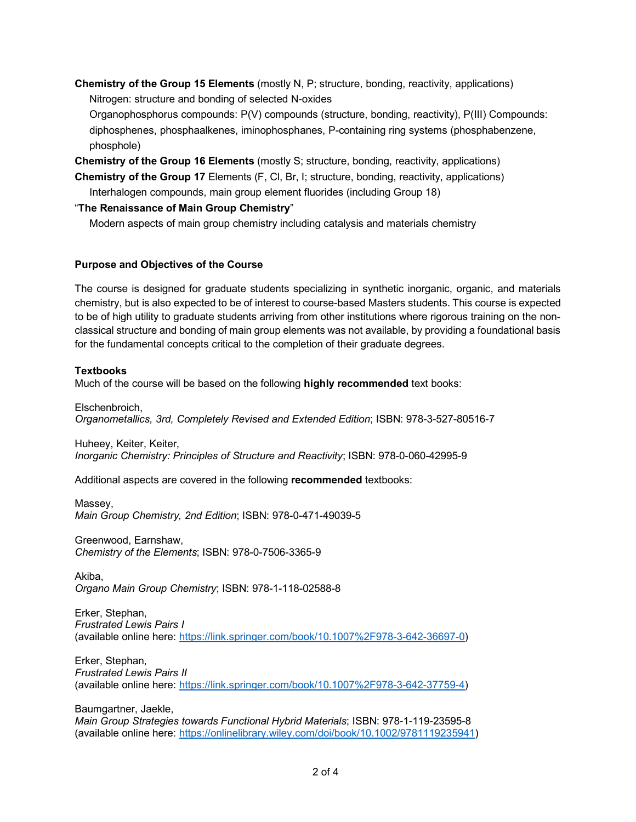**Chemistry of the Group 15 Elements** (mostly N, P; structure, bonding, reactivity, applications) Nitrogen: structure and bonding of selected N-oxides

Organophosphorus compounds: P(V) compounds (structure, bonding, reactivity), P(III) Compounds: diphosphenes, phosphaalkenes, iminophosphanes, P-containing ring systems (phosphabenzene, phosphole)

**Chemistry of the Group 16 Elements** (mostly S; structure, bonding, reactivity, applications)

**Chemistry of the Group 17** Elements (F, Cl, Br, I; structure, bonding, reactivity, applications) Interhalogen compounds, main group element fluorides (including Group 18)

## "**The Renaissance of Main Group Chemistry**"

Modern aspects of main group chemistry including catalysis and materials chemistry

## **Purpose and Objectives of the Course**

The course is designed for graduate students specializing in synthetic inorganic, organic, and materials chemistry, but is also expected to be of interest to course-based Masters students. This course is expected to be of high utility to graduate students arriving from other institutions where rigorous training on the nonclassical structure and bonding of main group elements was not available, by providing a foundational basis for the fundamental concepts critical to the completion of their graduate degrees.

#### **Textbooks**

Much of the course will be based on the following **highly recommended** text books:

Elschenbroich, *Organometallics, 3rd, Completely Revised and Extended Edition*; ISBN: 978-3-527-80516-7

Huheey, Keiter, Keiter, *Inorganic Chemistry: Principles of Structure and Reactivity*; ISBN: 978-0-060-42995-9

Additional aspects are covered in the following **recommended** textbooks:

Massey, *Main Group Chemistry, 2nd Edition*; ISBN: 978-0-471-49039-5

Greenwood, Earnshaw, *Chemistry of the Elements*; ISBN: 978-0-7506-3365-9

Akiba, *Organo Main Group Chemistry*; ISBN: 978-1-118-02588-8

Erker, Stephan, *Frustrated Lewis Pairs I* (available online here: https://link.springer.com/book/10.1007%2F978-3-642-36697-0)

Erker, Stephan, *Frustrated Lewis Pairs II* (available online here: https://link.springer.com/book/10.1007%2F978-3-642-37759-4)

Baumgartner, Jaekle, *Main Group Strategies towards Functional Hybrid Materials*; ISBN: 978-1-119-23595-8 (available online here: https://onlinelibrary.wiley.com/doi/book/10.1002/9781119235941)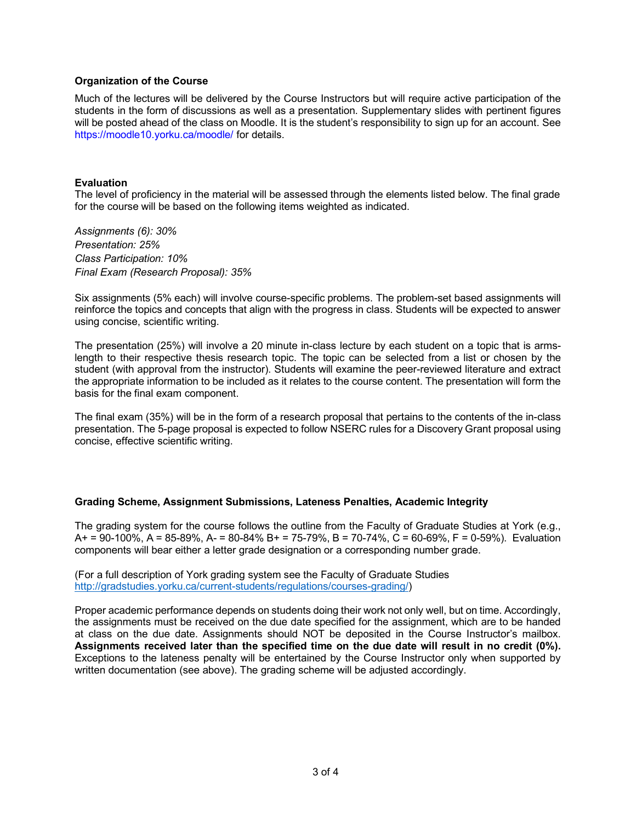## **Organization of the Course**

Much of the lectures will be delivered by the Course Instructors but will require active participation of the students in the form of discussions as well as a presentation. Supplementary slides with pertinent figures will be posted ahead of the class on Moodle. It is the student's responsibility to sign up for an account. See https://moodle10.yorku.ca/moodle/ for details.

## **Evaluation**

The level of proficiency in the material will be assessed through the elements listed below. The final grade for the course will be based on the following items weighted as indicated.

*Assignments (6): 30% Presentation: 25% Class Participation: 10% Final Exam (Research Proposal): 35%*

Six assignments (5% each) will involve course-specific problems. The problem-set based assignments will reinforce the topics and concepts that align with the progress in class. Students will be expected to answer using concise, scientific writing.

The presentation (25%) will involve a 20 minute in-class lecture by each student on a topic that is armslength to their respective thesis research topic. The topic can be selected from a list or chosen by the student (with approval from the instructor). Students will examine the peer-reviewed literature and extract the appropriate information to be included as it relates to the course content. The presentation will form the basis for the final exam component.

The final exam (35%) will be in the form of a research proposal that pertains to the contents of the in-class presentation. The 5-page proposal is expected to follow NSERC rules for a Discovery Grant proposal using concise, effective scientific writing.

#### **Grading Scheme, Assignment Submissions, Lateness Penalties, Academic Integrity**

The grading system for the course follows the outline from the Faculty of Graduate Studies at York (e.g.,  $A = 90-100\%$ ,  $A = 85-89\%$ ,  $A = 80-84\%$  B + = 75-79%, B = 70-74%, C = 60-69%, F = 0-59%). Evaluation components will bear either a letter grade designation or a corresponding number grade.

(For a full description of York grading system see the Faculty of Graduate Studies http://gradstudies.yorku.ca/current-students/regulations/courses-grading/)

Proper academic performance depends on students doing their work not only well, but on time. Accordingly, the assignments must be received on the due date specified for the assignment, which are to be handed at class on the due date. Assignments should NOT be deposited in the Course Instructor's mailbox. **Assignments received later than the specified time on the due date will result in no credit (0%).** Exceptions to the lateness penalty will be entertained by the Course Instructor only when supported by written documentation (see above). The grading scheme will be adjusted accordingly.